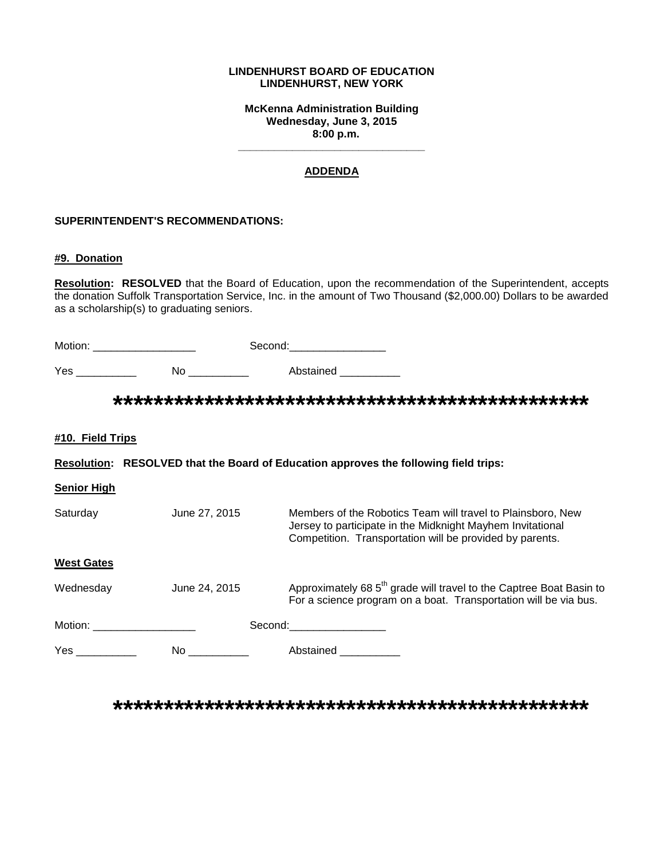#### **LINDENHURST BOARD OF EDUCATION LINDENHURST, NEW YORK**

**McKenna Administration Building Wednesday, June 3, 2015 8:00 p.m.**

**\_\_\_\_\_\_\_\_\_\_\_\_\_\_\_\_\_\_\_\_\_\_\_\_\_\_\_\_\_\_\_**

### **ADDENDA**

#### **SUPERINTENDENT'S RECOMMENDATIONS:**

#### **#9. Donation**

**Resolution: RESOLVED** that the Board of Education, upon the recommendation of the Superintendent, accepts the donation Suffolk Transportation Service, Inc. in the amount of Two Thousand (\$2,000.00) Dollars to be awarded as a scholarship(s) to graduating seniors.

| Motion: | Second: |
|---------|---------|
|---------|---------|

Yes \_\_\_\_\_\_\_\_\_\_\_\_\_ No \_\_\_\_\_\_\_\_\_\_\_ Abstained \_\_\_\_\_\_\_\_\_\_

**\*\*\*\*\*\*\*\*\*\*\*\*\*\*\*\*\*\*\*\*\*\*\*\*\*\*\*\*\*\*\*\*\*\*\*\*\*\*\*\*\*\*\*\*\*\*\***

**#10. Field Trips**

**Resolution: RESOLVED that the Board of Education approves the following field trips:**

**Senior High** 

| Saturday          | June 27, 2015 | Members of the Robotics Team will travel to Plainsboro, New<br>Jersey to participate in the Midknight Mayhem Invitational<br>Competition. Transportation will be provided by parents. |
|-------------------|---------------|---------------------------------------------------------------------------------------------------------------------------------------------------------------------------------------|
| <b>West Gates</b> |               |                                                                                                                                                                                       |
| Wednesday         | June 24, 2015 | Approximately 68 5 <sup>th</sup> grade will travel to the Captree Boat Basin to<br>For a science program on a boat. Transportation will be via bus.                                   |
| Motion:           |               | Second:                                                                                                                                                                               |
| Yes               | No.           | Abstained                                                                                                                                                                             |

**\*\*\*\*\*\*\*\*\*\*\*\*\*\*\*\*\*\*\*\*\*\*\*\*\*\*\*\*\*\*\*\*\*\*\*\*\*\*\*\*\*\*\*\*\*\*\***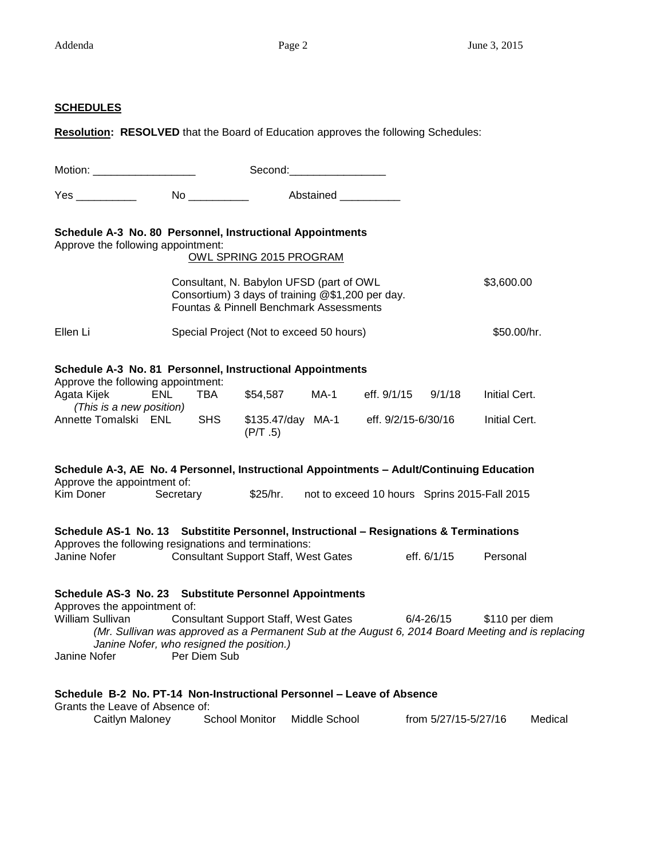## **SCHEDULES**

**Resolution: RESOLVED** that the Board of Education approves the following Schedules:

| Motion: _____________________                                                                                                                                                                                                                                                                                                                                     | Second: Second:                                                                                                                         |                                                               |               |                    |                                              |                                |         |  |  |
|-------------------------------------------------------------------------------------------------------------------------------------------------------------------------------------------------------------------------------------------------------------------------------------------------------------------------------------------------------------------|-----------------------------------------------------------------------------------------------------------------------------------------|---------------------------------------------------------------|---------------|--------------------|----------------------------------------------|--------------------------------|---------|--|--|
| Yes _____________  No ___________                                                                                                                                                                                                                                                                                                                                 |                                                                                                                                         | Abstained <b>Abstained</b>                                    |               |                    |                                              |                                |         |  |  |
| Schedule A-3 No. 80 Personnel, Instructional Appointments<br>Approve the following appointment:<br>OWL SPRING 2015 PROGRAM                                                                                                                                                                                                                                        |                                                                                                                                         |                                                               |               |                    |                                              |                                |         |  |  |
|                                                                                                                                                                                                                                                                                                                                                                   | Consultant, N. Babylon UFSD (part of OWL<br>Consortium) 3 days of training @\$1,200 per day.<br>Fountas & Pinnell Benchmark Assessments |                                                               |               |                    |                                              | \$3,600.00                     |         |  |  |
| Ellen Li                                                                                                                                                                                                                                                                                                                                                          | Special Project (Not to exceed 50 hours)                                                                                                |                                                               |               |                    |                                              | \$50.00/hr.                    |         |  |  |
| Schedule A-3 No. 81 Personnel, Instructional Appointments<br>Approve the following appointment:<br>Agata Kijek<br>(This is a new position)<br>Annette Tomalski ENL                                                                                                                                                                                                | ENL.<br>TBA<br><b>SHS</b>                                                                                                               | \$54,587<br>\$135.47/day MA-1 eff. 9/2/15-6/30/16<br>(P/T .5) | MA-1          | eff. 9/1/15 9/1/18 |                                              | Initial Cert.<br>Initial Cert. |         |  |  |
| Schedule A-3, AE No. 4 Personnel, Instructional Appointments - Adult/Continuing Education<br>Approve the appointment of:<br>Kim Doner                                                                                                                                                                                                                             | Secretary                                                                                                                               | \$25/hr.                                                      |               |                    | not to exceed 10 hours Sprins 2015-Fall 2015 |                                |         |  |  |
| Schedule AS-1 No. 13 Substitite Personnel, Instructional - Resignations & Terminations<br>Approves the following resignations and terminations:<br>Janine Nofer                                                                                                                                                                                                   | <b>Consultant Support Staff, West Gates</b>                                                                                             |                                                               |               |                    | eff. 6/1/15                                  | Personal                       |         |  |  |
| Schedule AS-3 No. 23 Substitute Personnel Appointments<br>Approves the appointment of:<br>William Sullivan<br>Consultant Support Staff, West Gates 6/4-26/15<br>\$110 per diem<br>(Mr. Sullivan was approved as a Permanent Sub at the August 6, 2014 Board Meeting and is replacing<br>Janine Nofer, who resigned the position.)<br>Per Diem Sub<br>Janine Nofer |                                                                                                                                         |                                                               |               |                    |                                              |                                |         |  |  |
| Schedule B-2 No. PT-14 Non-Instructional Personnel - Leave of Absence<br>Grants the Leave of Absence of:<br>Caitlyn Maloney                                                                                                                                                                                                                                       |                                                                                                                                         | School Monitor                                                | Middle School |                    | from 5/27/15-5/27/16                         |                                | Medical |  |  |